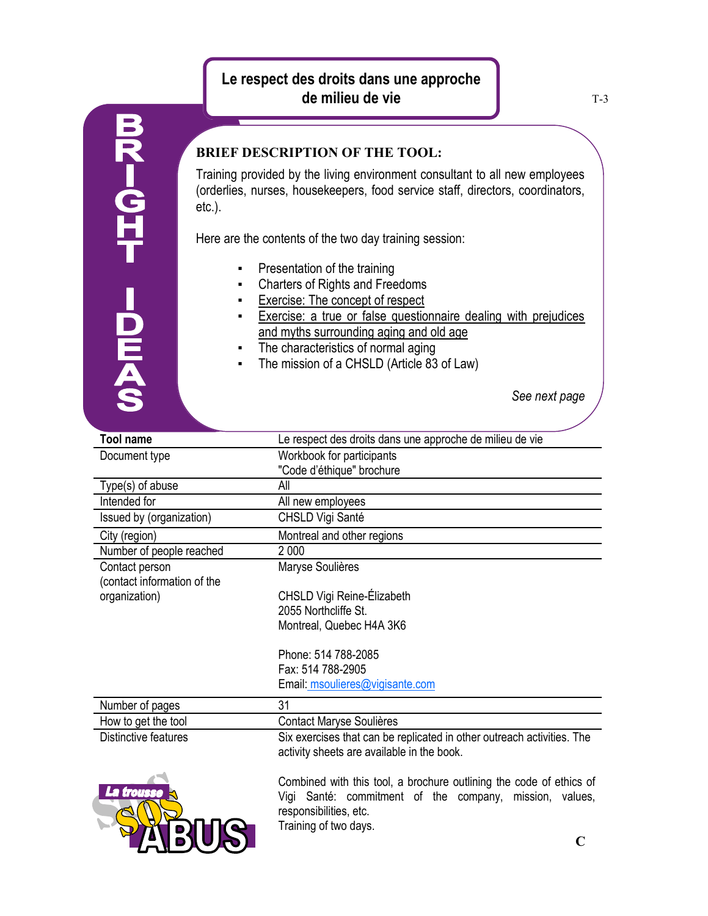## **Le respect des droits dans une approche de milieu de vie**



## **BRIEF DESCRIPTION OF THE TOOL:**

Training provided by the living environment consultant to all new employees (orderlies, nurses, housekeepers, food service staff, directors, coordinators, etc.).

Here are the contents of the two day training session:

- **•** Presentation of the training
- Charters of Rights and Freedoms
- Exercise: The concept of respect
- **Exercise:** a true or false questionnaire dealing with prejudices and myths surrounding aging and old age
- The characteristics of normal aging
- The mission of a CHSLD (Article 83 of Law)

*See next page*

| <b>Tool name</b>            | Le respect des droits dans une approche de milieu de vie               |
|-----------------------------|------------------------------------------------------------------------|
| Document type               | Workbook for participants                                              |
|                             | "Code d'éthique" brochure                                              |
| Type(s) of abuse            | All                                                                    |
| Intended for                | All new employees                                                      |
| Issued by (organization)    | CHSLD Vigi Santé                                                       |
| City (region)               | Montreal and other regions                                             |
| Number of people reached    | 2 0 0 0                                                                |
| Contact person              | Maryse Soulières                                                       |
| (contact information of the |                                                                        |
| organization)               | CHSLD Vigi Reine-Élizabeth                                             |
|                             | 2055 Northcliffe St.                                                   |
|                             | Montreal, Quebec H4A 3K6                                               |
|                             |                                                                        |
|                             | Phone: 514 788-2085                                                    |
|                             | Fax: 514 788-2905                                                      |
|                             | Email: msoulieres@vigisante.com                                        |
| Number of pages             | 31                                                                     |
| How to get the tool         | Contact Maryse Soulières                                               |
| Distinctive features        | Six exercises that can be replicated in other outreach activities. The |
|                             | activity sheets are available in the book.                             |
|                             |                                                                        |
|                             | Combined with this tool, a brochure outlining the code of ethics of    |
| trousse                     | Vigi Santé: commitment of the company,<br>mission, values,             |
|                             | responsibilities, etc.                                                 |
|                             | Training of two days.                                                  |
|                             |                                                                        |
|                             |                                                                        |